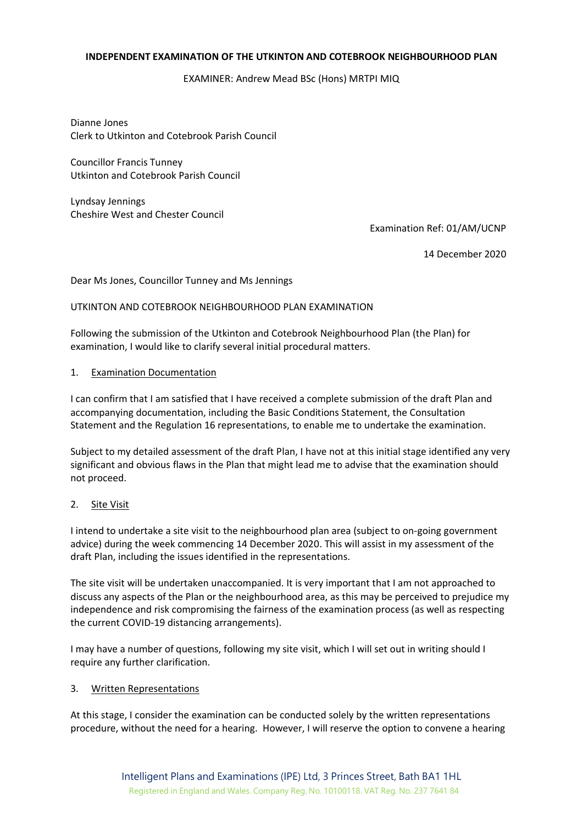#### **INDEPENDENT EXAMINATION OF THE UTKINTON AND COTEBROOK NEIGHBOURHOOD PLAN**

# EXAMINER: Andrew Mead BSc (Hons) MRTPI MIQ

Dianne Jones Clerk to Utkinton and Cotebrook Parish Council

Councillor Francis Tunney Utkinton and Cotebrook Parish Council

Lyndsay Jennings Cheshire West and Chester Council

Examination Ref: 01/AM/UCNP

14 December 2020

Dear Ms Jones, Councillor Tunney and Ms Jennings

## UTKINTON AND COTEBROOK NEIGHBOURHOOD PLAN EXAMINATION

Following the submission of the Utkinton and Cotebrook Neighbourhood Plan (the Plan) for examination, I would like to clarify several initial procedural matters.

## 1. Examination Documentation

I can confirm that I am satisfied that I have received a complete submission of the draft Plan and accompanying documentation, including the Basic Conditions Statement, the Consultation Statement and the Regulation 16 representations, to enable me to undertake the examination.

Subject to my detailed assessment of the draft Plan, I have not at this initial stage identified any very significant and obvious flaws in the Plan that might lead me to advise that the examination should not proceed.

## 2. Site Visit

I intend to undertake a site visit to the neighbourhood plan area (subject to on-going government advice) during the week commencing 14 December 2020. This will assist in my assessment of the draft Plan, including the issues identified in the representations.

The site visit will be undertaken unaccompanied. It is very important that I am not approached to discuss any aspects of the Plan or the neighbourhood area, as this may be perceived to prejudice my independence and risk compromising the fairness of the examination process (as well as respecting the current COVID-19 distancing arrangements).

I may have a number of questions, following my site visit, which I will set out in writing should I require any further clarification.

## 3. Written Representations

At this stage, I consider the examination can be conducted solely by the written representations procedure, without the need for a hearing. However, I will reserve the option to convene a hearing